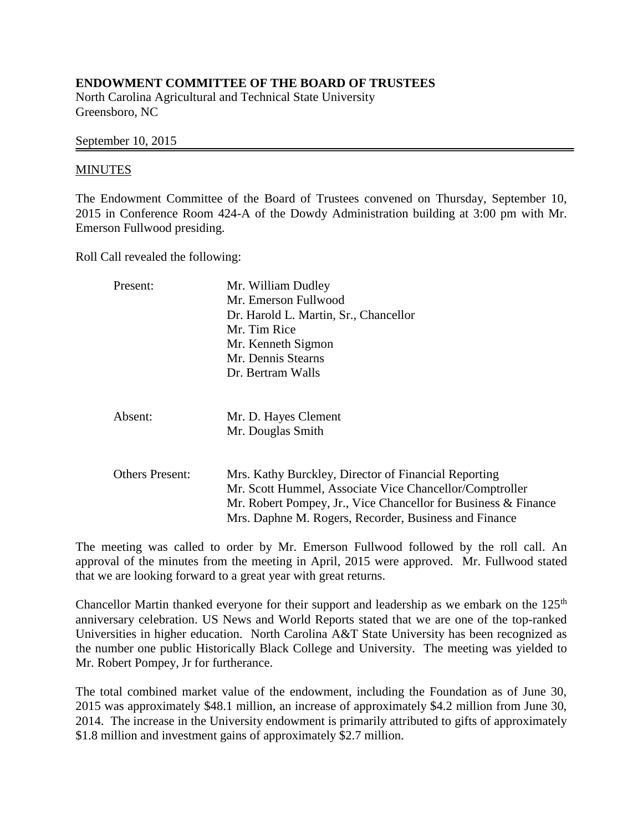## **ENDOWMENT COMMITTEE OF THE BOARD OF TRUSTEES**

North Carolina Agricultural and Technical State University Greensboro, NC

## September 10, 2015

## MINUTES

The Endowment Committee of the Board of Trustees convened on Thursday, September 10, 2015 in Conference Room 424-A of the Dowdy Administration building at 3:00 pm with Mr. Emerson Fullwood presiding.

Roll Call revealed the following:

| Present:               | Mr. William Dudley                                             |
|------------------------|----------------------------------------------------------------|
|                        | Mr. Emerson Fullwood                                           |
|                        | Dr. Harold L. Martin, Sr., Chancellor                          |
|                        | Mr. Tim Rice                                                   |
|                        | Mr. Kenneth Sigmon                                             |
|                        | Mr. Dennis Stearns                                             |
|                        | Dr. Bertram Walls                                              |
| Absent:                | Mr. D. Hayes Clement                                           |
|                        | Mr. Douglas Smith                                              |
|                        |                                                                |
| <b>Others Present:</b> | Mrs. Kathy Burckley, Director of Financial Reporting           |
|                        | Mr. Scott Hummel, Associate Vice Chancellor/Comptroller        |
|                        | Mr. Robert Pompey, Jr., Vice Chancellor for Business & Finance |
|                        | Mrs. Daphne M. Rogers, Recorder, Business and Finance          |

The meeting was called to order by Mr. Emerson Fullwood followed by the roll call. An approval of the minutes from the meeting in April, 2015 were approved. Mr. Fullwood stated that we are looking forward to a great year with great returns.

Chancellor Martin thanked everyone for their support and leadership as we embark on the  $125<sup>th</sup>$ anniversary celebration. US News and World Reports stated that we are one of the top-ranked Universities in higher education. North Carolina A&T State University has been recognized as the number one public Historically Black College and University. The meeting was yielded to Mr. Robert Pompey, Jr for furtherance.

The total combined market value of the endowment, including the Foundation as of June 30, 2015 was approximately \$48.1 million, an increase of approximately \$4.2 million from June 30, 2014. The increase in the University endowment is primarily attributed to gifts of approximately \$1.8 million and investment gains of approximately \$2.7 million.